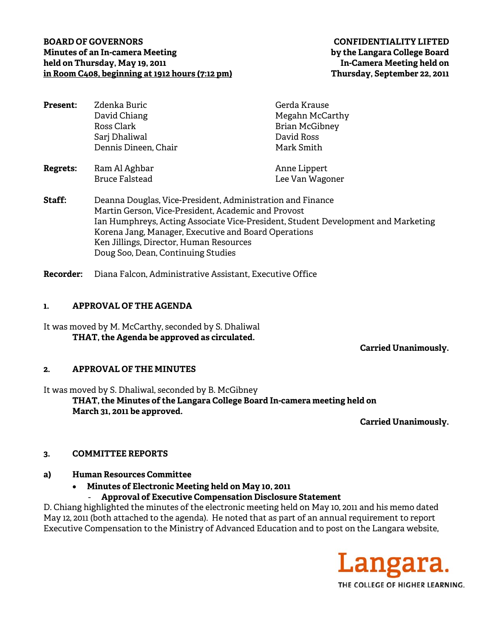## **BOARD OF GOVERNORS CONFIDENTIALITY LIFTED Minutes of an In-camera Meeting by the Langara College Board**  held on Thursday, May 19, 2011 **International Connective Connective Connect** In-Camera Meeting held on **in Room C408, beginning at 1912 hours (7:12 pm) Thursday, September 22, 2011**

| <b>Present:</b> | Zdenka Buric         | Gerda Krause          |
|-----------------|----------------------|-----------------------|
|                 | David Chiang         | Megahn McCarthy       |
|                 | Ross Clark           | <b>Brian McGibney</b> |
|                 | Sarj Dhaliwal        | David Ross            |
|                 | Dennis Dineen, Chair | Mark Smith            |
| Regrets:        | Ram Al Aghbar        | Anne Lippert          |

**Staff:** Deanna Douglas, Vice-President, Administration and Finance Martin Gerson, Vice-President, Academic and Provost Ian Humphreys, Acting Associate Vice-President, Student Development and Marketing Korena Jang, Manager, Executive and Board Operations Ken Jillings, Director, Human Resources Doug Soo, Dean, Continuing Studies

Bruce Falstead Lee Van Wagoner

**Recorder:** Diana Falcon, Administrative Assistant, Executive Office

## **1. APPROVAL OF THE AGENDA**

It was moved by M. McCarthy, seconded by S. Dhaliwal **THAT, the Agenda be approved as circulated.** 

 **Carried Unanimously.** 

# **2. APPROVAL OF THE MINUTES**

It was moved by S. Dhaliwal, seconded by B. McGibney **THAT, the Minutes of the Langara College Board In-camera meeting held on March 31, 2011 be approved.** 

**Carried Unanimously.** 

# **3. COMMITTEE REPORTS**

- **a) Human Resources Committee** 
	- **Minutes of Electronic Meeting held on May 10, 2011** 
		- **Approval of Executive Compensation Disclosure Statement**

D. Chiang highlighted the minutes of the electronic meeting held on May 10, 2011 and his memo dated May 12, 2011 (both attached to the agenda). He noted that as part of an annual requirement to report Executive Compensation to the Ministry of Advanced Education and to post on the Langara website,